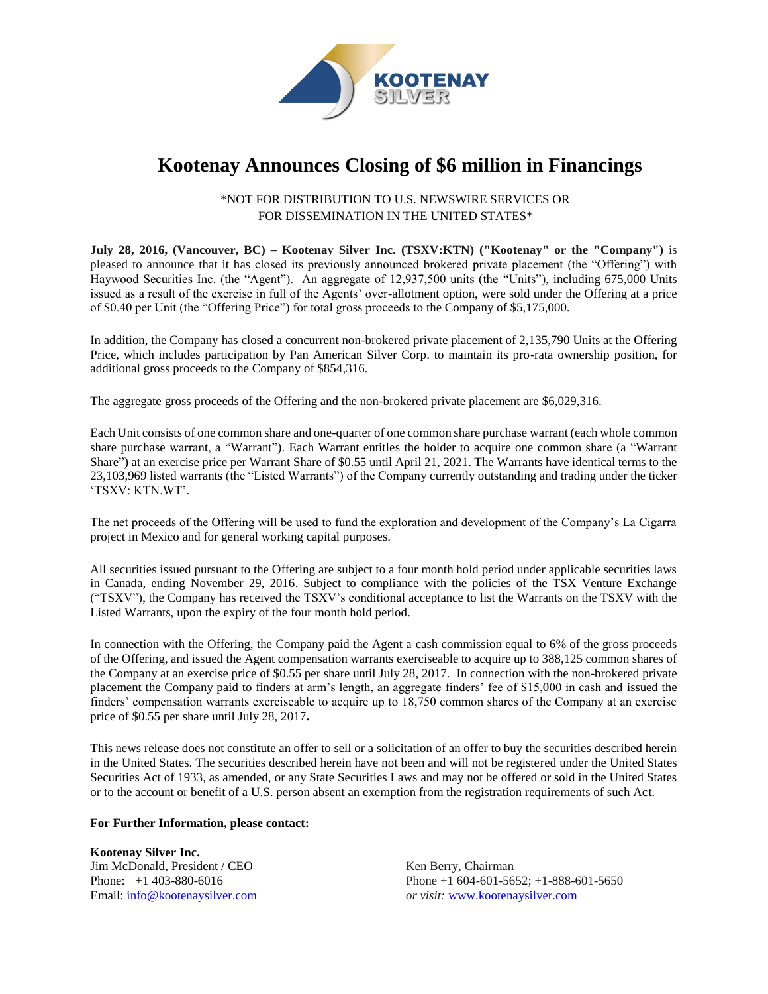

# **Kootenay Announces Closing of \$6 million in Financings**

## \*NOT FOR DISTRIBUTION TO U.S. NEWSWIRE SERVICES OR FOR DISSEMINATION IN THE UNITED STATES\*

**July 28, 2016, (Vancouver, BC) – Kootenay Silver Inc. (TSXV:KTN) ("Kootenay" or the "Company")** is pleased to announce that it has closed its previously announced brokered private placement (the "Offering") with Haywood Securities Inc. (the "Agent"). An aggregate of 12,937,500 units (the "Units"), including 675,000 Units issued as a result of the exercise in full of the Agents' over-allotment option, were sold under the Offering at a price of \$0.40 per Unit (the "Offering Price") for total gross proceeds to the Company of \$5,175,000.

In addition, the Company has closed a concurrent non-brokered private placement of 2,135,790 Units at the Offering Price, which includes participation by Pan American Silver Corp. to maintain its pro-rata ownership position, for additional gross proceeds to the Company of \$854,316.

The aggregate gross proceeds of the Offering and the non-brokered private placement are \$6,029,316.

Each Unit consists of one common share and one-quarter of one common share purchase warrant (each whole common share purchase warrant, a "Warrant"). Each Warrant entitles the holder to acquire one common share (a "Warrant Share") at an exercise price per Warrant Share of \$0.55 until April 21, 2021. The Warrants have identical terms to the 23,103,969 listed warrants (the "Listed Warrants") of the Company currently outstanding and trading under the ticker 'TSXV: KTN.WT'.

The net proceeds of the Offering will be used to fund the exploration and development of the Company's La Cigarra project in Mexico and for general working capital purposes.

All securities issued pursuant to the Offering are subject to a four month hold period under applicable securities laws in Canada, ending November 29, 2016. Subject to compliance with the policies of the TSX Venture Exchange ("TSXV"), the Company has received the TSXV's conditional acceptance to list the Warrants on the TSXV with the Listed Warrants, upon the expiry of the four month hold period.

In connection with the Offering, the Company paid the Agent a cash commission equal to 6% of the gross proceeds of the Offering, and issued the Agent compensation warrants exerciseable to acquire up to 388,125 common shares of the Company at an exercise price of \$0.55 per share until July 28, 2017. In connection with the non-brokered private placement the Company paid to finders at arm's length, an aggregate finders' fee of \$15,000 in cash and issued the finders' compensation warrants exerciseable to acquire up to 18,750 common shares of the Company at an exercise price of \$0.55 per share until July 28, 2017**.** 

This news release does not constitute an offer to sell or a solicitation of an offer to buy the securities described herein in the United States. The securities described herein have not been and will not be registered under the United States Securities Act of 1933, as amended, or any State Securities Laws and may not be offered or sold in the United States or to the account or benefit of a U.S. person absent an exemption from the registration requirements of such Act.

## **For Further Information, please contact:**

**Kootenay Silver Inc.**  Jim McDonald, President / CEO Phone: +1 403-880-6016 Email: info@kootenaysilver.com

Ken Berry, Chairman Phone +1 604-601-5652; +1-888-601-5650 *or visit:* [www.kootenaysilver.com](http://www.kootenaygold.ca/)